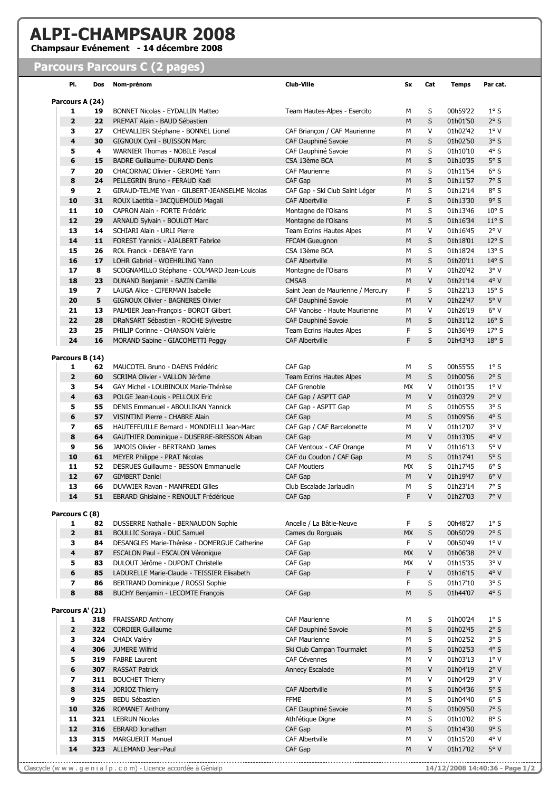## ALPI-CHAMPSAUR 2008<br>Champsaur Evénement - 14 décembre 2008

## **Parcours Parcours C (2 pages)**

| PI.                     | Dos                     | Nom-prénom                                                          | <b>Club-Ville</b>                                   | Sx        | Cat    | <b>Temps</b>         | Par cat.           |
|-------------------------|-------------------------|---------------------------------------------------------------------|-----------------------------------------------------|-----------|--------|----------------------|--------------------|
| Parcours A (24)         |                         |                                                                     |                                                     |           |        |                      |                    |
| 1                       | 19                      | <b>BONNET Nicolas - EYDALLIN Matteo</b>                             | Team Hautes-Alpes - Esercito                        | м         | S      | 00h59'22             | $1^\circ S$<br>2°S |
| $\overline{2}$<br>3     | 22                      | PREMAT Alain - BAUD Sébastien                                       |                                                     | M         | S<br>V | 01h01'50             | $1^{\circ}$ V      |
| 4                       | 27<br>30                | CHEVALLIER Stéphane - BONNEL Lionel<br>GIGNOUX Cyril - BUISSON Marc | CAF Briançon / CAF Maurienne<br>CAF Dauphiné Savoie | М<br>M    | S      | 01h02'42<br>01h02'50 | 3°S                |
| 5                       | 4                       | WARNIER Thomas - NOBILE Pascal                                      | CAF Dauphiné Savoie                                 | М         | S      | 01h10'10             | 4°S                |
| $6\phantom{1}6$         | 15                      | <b>BADRE Guillaume- DURAND Denis</b>                                | CSA 13ème BCA                                       | M         | S      | 01h10'35             | $5^\circ S$        |
| $\overline{\mathbf{z}}$ | 20                      | CHACORNAC Olivier - GEROME Yann                                     | <b>CAF Maurienne</b>                                |           | S      | 01h11'54             | 6°S                |
| 8                       | 24                      | PELLEGRIN Bruno - FERAUD Kaël                                       | CAF Gap                                             | м<br>M    | S      | 01h11'57             | 7°S                |
| 9                       | $\mathbf{2}$            | GIRAUD-TELME Yvan - GILBERT-JEANSELME Nicolas                       | CAF Gap - Ski Club Saint Léger                      | М         | S      | 01h12'14             | 8°S                |
| 10                      | 31                      | ROUX Laetitia - JACQUEMOUD Magali                                   | <b>CAF Albertville</b>                              | F         | S      | 01h13'30             | 9°S                |
| 11                      | 10                      | CAPRON Alain - FORTE Frédéric                                       | Montagne de l'Oisans                                | М         | S      | 01h13'46             | $10^{\circ}$ S     |
| 12                      | 29                      | ARNAUD Sylvain - BOULOT Marc                                        | Montagne de l'Oisans                                | M         | S      | 01h16'34             | $11^{\circ}$ S     |
| 13                      |                         |                                                                     |                                                     |           | V      |                      | 2°V                |
| 14                      | 14                      | SCHIARI Alain - URLI Pierre                                         | Team Ecrins Hautes Alpes                            | м         | S      | 01h16'45             | $12°$ S            |
|                         | 11                      | FOREST Yannick - AJALBERT Fabrice                                   | FFCAM Gueugnon                                      | М         |        | 01h18'01             |                    |
| 15                      | 26                      | ROL Franck - DEBAYE Yann                                            | CSA 13ème BCA                                       | м         | S      | 01h18'24             | $13°$ S            |
| 16                      | 17                      | LOHR Gabriel - WOEHRLING Yann                                       | <b>CAF Albertville</b>                              | M         | S      | 01h20'11             | $14^{\circ}$ S     |
| 17                      | 8                       | SCOGNAMILLO Stéphane - COLMARD Jean-Louis                           | Montagne de l'Oisans                                | М         | V      | 01h20'42             | 3°V                |
| 18                      | 23                      | DUNAND Benjamin - BAZIN Camille                                     | <b>CMSAB</b>                                        | М         | V      | 01h21'14             | 4°V                |
| 19                      | $\overline{\mathbf{z}}$ | LAUGA Alice - CIFERMAN Isabelle                                     | Saint Jean de Maurienne / Mercury                   | F.        | S      | 01h22'13             | 15°S               |
| 20                      | 5                       | GIGNOUX Olivier - BAGNERES Olivier                                  | CAF Dauphiné Savoie                                 | M         | V      | 01h22'47             | 5°V                |
| 21                      | 13                      | PALMIER Jean-François - BOROT Gilbert                               | CAF Vanoise - Haute Maurienne                       | М         | V      | 01h26'19             | $6^{\circ}$ V      |
| 22                      | 28                      | DRaNSART Sébastien - ROCHE Sylvestre                                | CAF Dauphiné Savoie                                 | М         | S      | 01h31'12             | 16°S               |
| 23                      | 25                      | PHILIP Corinne - CHANSON Valérie                                    | <b>Team Ecrins Hautes Alpes</b>                     | F.        | S      | 01h36'49             | $17°$ S            |
| 24                      | 16                      | MORAND Sabine - GIACOMETTI Peggy                                    | <b>CAF Albertville</b>                              | F         | S      | 01h43'43             | 18°S               |
| Parcours B (14)         |                         |                                                                     |                                                     |           |        |                      |                    |
| 1                       | 62                      | MAUCOTEL Bruno - DAENS Frédéric                                     | CAF Gap                                             | М         | S      | 00h55'55             | $1^\circ S$        |
| $\overline{2}$          | 60                      | SCRIMA Olivier - VALLON Jérôme                                      | <b>Team Ecrins Hautes Alpes</b>                     | M         | S      | 01h00'56             | 2°S                |
| 3                       | 54                      | GAY Michel - LOUBINOUX Marie-Thérèse                                | CAF Grenoble                                        | МX        | V      | 01h01'35             | $1^{\circ}$ V      |
| 4                       | 63                      | POLGE Jean-Louis - PELLOUX Eric                                     | CAF Gap / ASPTT GAP                                 | M         | V      | 01h03'29             | 2°V                |
| 5                       | 55                      | DENIS Emmanuel - ABOULIKAN Yannick                                  | CAF Gap - ASPTT Gap                                 | м         | S      | 01h05'55             | 3°S                |
| $6\phantom{1}6$         | 57                      | VISINTINI Pierre - CHABRE Alain                                     | CAF Gap                                             | М         | S      | 01h09'56             | 4°S                |
| $\overline{\mathbf{z}}$ | 65                      | HAUTEFEUILLE Bernard - MONDIELLI Jean-Marc                          | CAF Gap / CAF Barcelonette                          | М         | V      | 01h12'07             | 3° V               |
| 8                       | 64                      | GAUTHIER Dominique - DUSERRE-BRESSON Alban                          | CAF Gap                                             | M         | V      | 01h13'05             | 4° V               |
| 9                       | 56                      | JAMOIS Olivier - BERTRAND James                                     | CAF Ventoux - CAF Orange                            | М         | V      | 01h16'13             | 5°V                |
| 10                      | 61                      | MEYER Philippe - PRAT Nicolas                                       | CAF du Coudon / CAF Gap                             | M         | S      | 01h17'41             | $5^\circ S$        |
| 11                      | 52                      | DESRUES Guillaume - BESSON Emmanuelle                               | <b>CAF Moutiers</b>                                 | МX        | S      | 01h17'45             | $6^{\circ}$ S      |
| 12                      | 67                      | <b>GIMBERT Daniel</b>                                               | CAF Gap                                             | M         | V      | 01h19'47             | 6°V                |
| 13                      | 66                      | DUVWIER Ravan - MANFREDI Gilles                                     | Club Escalade Jarlaudin                             | M         | S      | 01h23'14             | 7°S                |
| 14                      | 51                      | EBRARD Ghislaine - RENOULT Frédérique                               | CAF Gap                                             | F.        | V      | 01h27'03             | 7° V               |
| Parcours C (8)          |                         |                                                                     |                                                     |           |        |                      |                    |
| 1                       | 82                      | DUSSERRE Nathalie - BERNAUDON Sophie                                | Ancelle / La Bâtie-Neuve                            | F         | S      | 00h48'27             | $1^\circ S$        |
| $\overline{\mathbf{2}}$ | 81                      | <b>BOULLIC Soraya - DUC Samuel</b>                                  | Cames du Rorguais                                   | MX        | S      | 00h50'29             | 2°S                |
| 3                       | 84                      | DESANGLES Marie-Thérèse - DOMERGUE Catherine                        | CAF Gap                                             | F.        | V      | 00h50'49             | $1^{\circ}$ V      |
| $\overline{\mathbf{4}}$ | 87                      | ESCALON Paul - ESCALON Véronique                                    | CAF Gap                                             | <b>MX</b> | V      | 01h06'38             | 2°V                |
| 5                       | 83                      | DULOUT Jérôme - DUPONT Christelle                                   | CAF Gap                                             | МX        | V      | 01h15'35             | 3°V                |
| 6                       | 85                      | LADURELLE Marie-Claude - TEISSIER Elisabeth                         | CAF Gap                                             | F         | V      | 01h16'15             | 4° V               |
| $\overline{\mathbf{z}}$ | 86                      | BERTRAND Dominique / ROSSI Sophie                                   |                                                     | F.        | S      | 01h17'10             | 3°S                |
| 8                       | 88                      | BUCHY Benjamin - LECOMTE François                                   | CAF Gap                                             | M         | S      | 01h44'07             | 4°S                |
| Parcours A' (21)        |                         |                                                                     |                                                     |           |        |                      |                    |
| 1                       | 318                     | <b>FRAISSARD Anthony</b>                                            | <b>CAF Maurienne</b>                                | М         | S      | 01h00'24             | $1^\circ S$        |
| $\overline{2}$          | 322                     | <b>CORDIER Guillaume</b>                                            | CAF Dauphiné Savoie                                 | М         | S      | 01h02'45             | 2°S                |
| 3                       |                         | 324 CHAIX Valéry                                                    | <b>CAF Maurienne</b>                                | М         | S      | 01h02'52             | 3°S                |
| 4                       | 306                     | <b>JUMERE Wilfrid</b>                                               | Ski Club Campan Tourmalet                           | M         | S      | 01h02'53             | 4°S                |
| 5                       | 319                     | <b>FABRE Laurent</b>                                                | <b>CAF Cévennes</b>                                 | М         | V      | 01h03'13             | $1^{\circ}$ V      |
| 6                       | 307                     | <b>RASSAT Patrick</b>                                               | Annecy Escalade                                     | M         | V      | 01h04'19             | 2°V                |
| $\overline{\mathbf{z}}$ | 311                     | <b>BOUCHET Thierry</b>                                              |                                                     | М         | V      | 01h04'29             | 3°V                |
| 8                       | 314                     | JORIOZ Thierry                                                      | <b>CAF Albertville</b>                              | М         | S      | 01h04'36             | $5^\circ S$        |
| 9                       | 325                     | <b>BEDU Sébastien</b>                                               | <b>FFME</b>                                         | М         | S      | 01h04'40             | $6^{\circ}$ S      |
| 10                      | 326                     | <b>ROMANET Anthony</b>                                              | CAF Dauphiné Savoie                                 | M         | S      | 01h09'50             | 7°S                |
| 11                      | 321                     | <b>LEBRUN Nicolas</b>                                               | Athl'étique Digne                                   | М         | S      | 01h10'02             | 8°S                |
| 12                      | 316                     | EBRARD Jonathan                                                     | CAF Gap                                             | M         | S      | 01h14'30             | 9°S                |
| 13                      | 315                     | <b>MARGUERIT Manuel</b>                                             | <b>CAF Albertville</b>                              | М         | V      | 01h15'20             | $4^{\circ}$ V      |
| 14                      |                         | 323 ALLEMAND Jean-Paul                                              | CAF Gap                                             | M         | V      | 01h17'02             | $5^{\circ}$ V      |
|                         |                         |                                                                     |                                                     |           |        |                      |                    |